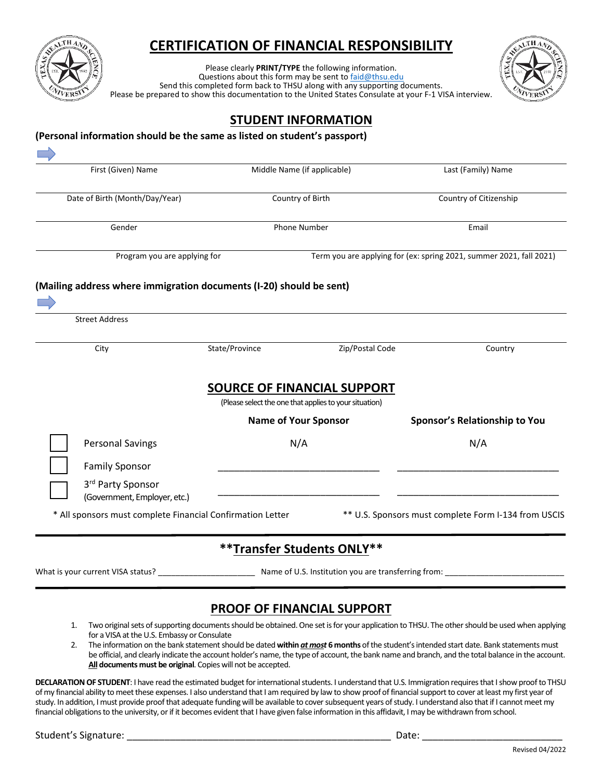

### **CERTIFICATION OF FINANCIAL RESPONSIBILITY**

Please clearly **PRINT/TYPE** the following information.<br>Questions about this form may be sent to [faid@thsu.edu](mailto:faid@thsu.edu) Send this completed form back to THSU along with any supporting documents. Please be prepared to show this documentation to the United States Consulate at your F-1 VISA interview.



### **STUDENT INFORMATION**

| First (Given) Name                                                  |                | Middle Name (if applicable)                                                           | Last (Family) Name                                                  |  |
|---------------------------------------------------------------------|----------------|---------------------------------------------------------------------------------------|---------------------------------------------------------------------|--|
| Date of Birth (Month/Day/Year)                                      |                | Country of Birth                                                                      | Country of Citizenship<br>Email                                     |  |
| Gender                                                              |                | Phone Number                                                                          |                                                                     |  |
| Program you are applying for                                        |                |                                                                                       | Term you are applying for (ex: spring 2021, summer 2021, fall 2021) |  |
| (Mailing address where immigration documents (I-20) should be sent) |                |                                                                                       |                                                                     |  |
|                                                                     |                |                                                                                       |                                                                     |  |
| <b>Street Address</b>                                               |                |                                                                                       |                                                                     |  |
| City                                                                | State/Province | Zip/Postal Code                                                                       | Country                                                             |  |
|                                                                     |                |                                                                                       |                                                                     |  |
|                                                                     |                |                                                                                       |                                                                     |  |
|                                                                     |                | SOURCE OF FINANCIAL SUPPORT<br>(Please select the one that applies to your situation) |                                                                     |  |
|                                                                     |                | <b>Name of Your Sponsor</b>                                                           | <b>Sponsor's Relationship to You</b>                                |  |
| <b>Personal Savings</b>                                             |                | N/A                                                                                   | N/A                                                                 |  |
| <b>Family Sponsor</b>                                               |                |                                                                                       |                                                                     |  |
| 3rd Party Sponsor<br>(Government, Employer, etc.)                   |                |                                                                                       |                                                                     |  |
| * All sponsors must complete Financial Confirmation Letter          |                |                                                                                       | ** U.S. Sponsors must complete Form I-134 from USCIS                |  |

#### **PROOF OF FINANCIAL SUPPORT**

- 1. Two original sets of supporting documents should be obtained. One set is for your application to THSU. The other should be used when applying for a VISA at the U.S. Embassy or Consulate
- 2. The information on the bank statement should be dated **within** *at most* **6 months** of the student's intended start date. Bank statements must be official, and clearly indicate the account holder's name, the type of account, the bank name and branch, and the total balance in the account. **All documents must be original**. Copies will not be accepted.

**DECLARATION OF STUDENT**: I have read the estimated budget for international students. I understand that U.S. Immigration requires that I show proof to THSU of my financial ability to meet these expenses. I also understand that I am required by law to show proof of financial support to cover at least my first year of study. In addition, I must provide proof that adequate funding will be available to cover subsequent years of study. I understand also that if I cannot meet my financial obligations to the university, or if it becomes evident that I have given false information in this affidavit, I may be withdrawn from school.